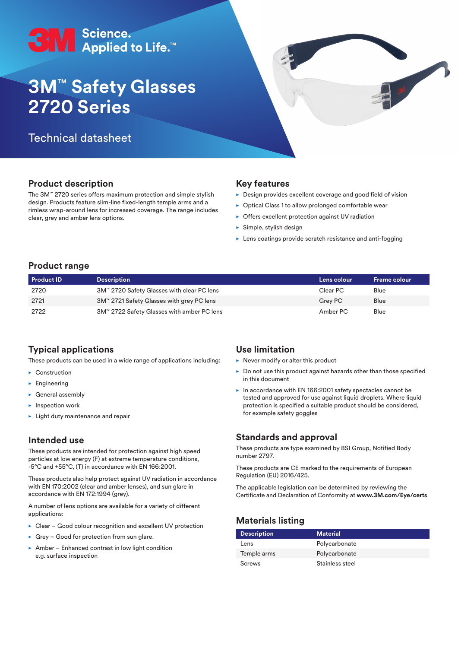

# **3M**™ **Safety Glasses 2720 Series**

## Technical datasheet

## **Product description**

The 3M™ 2720 series offers maximum protection and simple stylish design. Products feature slim-line fixed-length temple arms and a rimless wrap-around lens for increased coverage. The range includes clear, grey and amber lens options.

### **Key features**

 $\triangleright$  Design provides excellent coverage and good field of vision

- $\triangleright$  Optical Class 1 to allow prolonged comfortable wear
- $\triangleright$  Offers excellent protection against UV radiation
- $\blacktriangleright$  Simple, stylish design
- $\blacktriangleright$  Lens coatings provide scratch resistance and anti-fogging

#### **Product range**

| <b>Product ID</b> | <b>Description</b>                         | Lens colour | <b>Frame colour</b> |
|-------------------|--------------------------------------------|-------------|---------------------|
| 2720              | 3M™ 2720 Safety Glasses with clear PC lens | Clear PC    | Blue                |
| 2721              | 3M™ 2721 Safety Glasses with grey PC lens  | Grey PC     | Blue                |
| 2722              | 3M™ 2722 Safety Glasses with amber PC lens | Amber PC    | Blue                |

## **Typical applications**

These products can be used in a wide range of applications including:

- $\blacktriangleright$  Construction
- $\blacktriangleright$  Engineering
- $\blacktriangleright$  General assembly
- $\blacktriangleright$  Inspection work
- $\blacktriangleright$  Light duty maintenance and repair

#### **Intended use**

These products are intended for protection against high speed particles at low energy (F) at extreme temperature conditions, -5°C and +55°C, (T) in accordance with EN 166:2001.

These products also help protect against UV radiation in accordance with EN 170:2002 (clear and amber lenses), and sun glare in accordance with EN 172:1994 (grey).

A number of lens options are available for a variety of different applications:

- $\triangleright$  Clear Good colour recognition and excellent UV protection
- $\triangleright$  Grey Good for protection from sun glare.
- $\triangleright$  Amber Enhanced contrast in low light condition e.g. surface inspection

#### **Use limitation**

- $\blacktriangleright$  Never modify or alter this product
- $\triangleright$  Do not use this product against hazards other than those specified in this document
- $\blacktriangleright$  In accordance with EN 166:2001 safety spectacles cannot be tested and approved for use against liquid droplets. Where liquid protection is specified a suitable product should be considered, for example safety goggles

#### **Standards and approval**

These products are type examined by BSI Group, Notified Body number 2797.

These products are CE marked to the requirements of European Regulation (EU) 2016/425.

The applicable legislation can be determined by reviewing the Certificate and Declaration of Conformity at **www.3M.com/Eye/certs**

## **Materials listing**

| <b>Description</b> | <b>Material</b> |
|--------------------|-----------------|
| Lens               | Polycarbonate   |
| Temple arms        | Polycarbonate   |
| Screws             | Stainless steel |